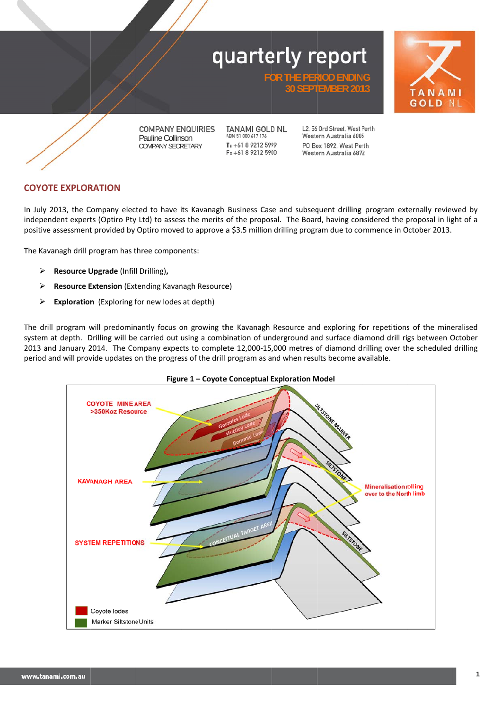



**COMPANY ENQUIRIES** Pauline Collinson COMPANY SECRETARY

**TANAMI GOLD NL** ABN 51 000 617 176  $T: +61892125999$ F: +61 8 9212 5900

L2. 56 Ord Street. West Perth Western Australia 6005 PO Box 1892 West Perth Western Australia 6872

**FOR THE PERIOD ENDING 30 SEPT TEMBER 201 13** 

## **COYOTE EXPLORATION**

In July 2013, the Company elected to have its Kavanagh Business Case and subsequent drilling program externally reviewed by independent experts (Optiro Pty Ltd) to assess the merits of the proposal. The Board, having considered the proposal in light of a positive assessment provided by Optiro moved to approve a \$3.5 million drilling program due to commence in October 2013.

The Kavanagh drill program has three components:

- **Resource U Upgrade** (Infil l Drilling)**,**
- $\blacktriangleright$ Resource Extension (Extending Kavanagh Resource)
- $\blacktriangleright$ **Exploration** (Exploring for new lodes at depth)

The drill program will predominantly focus on growing the Kavanagh Resource and exploring for repetitions of the mineralised system at depth. Drilling will be carried out using a combination of underground and surface diamond drill rigs between October 2013 and January 2014. The Company expects to complete 12,000-15,000 metres of diamond drilling over the scheduled drilling period and will provide updates on the progress of the drill program as and when results become available.



## **Figure 1 - Coyote Conceptual Exploration Model**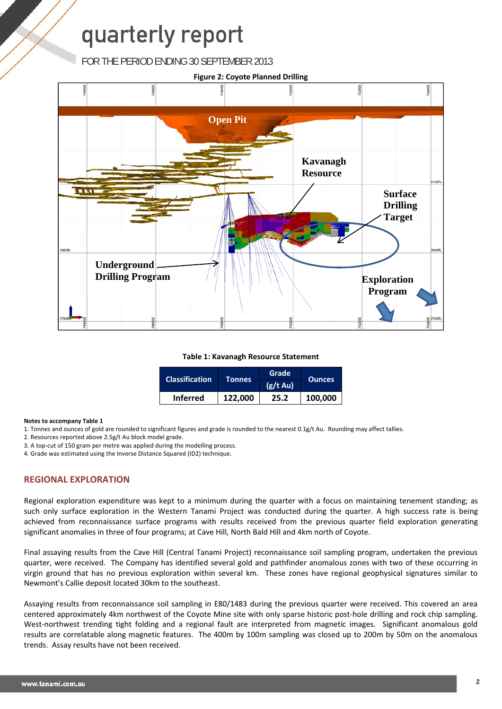FOR THE PERIOD ENDING 30 SEPTEMBER 2013



#### **Table 1: Kavanagh Resource Statement**

| <b>Classification</b> | Tonnes  | Grade         |               |
|-----------------------|---------|---------------|---------------|
|                       |         | $(g/t \, Au)$ | <b>Ounces</b> |
| <b>Inferred</b>       | 122,000 | 25.2          | 100,000       |

#### **Notes to accompany Table 1**

- 1. Tonnes and ounces of gold are rounded to significant figures and grade is rounded to the nearest 0.1g/t Au. Rounding may affect tallies.
- 2. Resources reported above 2.5g/t Au block model grade.
- 3. A top‐cut of 150 gram per metre was applied during the modelling process.
- 4. Grade was estimated using the Inverse Distance Squared (ID2) technique.

## **REGIONAL EXPLORATION**

Regional exploration expenditure was kept to a minimum during the quarter with a focus on maintaining tenement standing; as such only surface exploration in the Western Tanami Project was conducted during the quarter. A high success rate is being achieved from reconnaissance surface programs with results received from the previous quarter field exploration generating significant anomalies in three of four programs; at Cave Hill, North Bald Hill and 4km north of Coyote.

Final assaying results from the Cave Hill (Central Tanami Project) reconnaissance soil sampling program, undertaken the previous quarter, were received. The Company has identified several gold and pathfinder anomalous zones with two of these occurring in virgin ground that has no previous exploration within several km. These zones have regional geophysical signatures similar to Newmont's Callie deposit located 30km to the southeast.

Assaying results from reconnaissance soil sampling in E80/1483 during the previous quarter were received. This covered an area centered approximately 4km northwest of the Coyote Mine site with only sparse historic post‐hole drilling and rock chip sampling. West-northwest trending tight folding and a regional fault are interpreted from magnetic images. Significant anomalous gold results are correlatable along magnetic features. The 400m by 100m sampling was closed up to 200m by 50m on the anomalous trends. Assay results have not been received.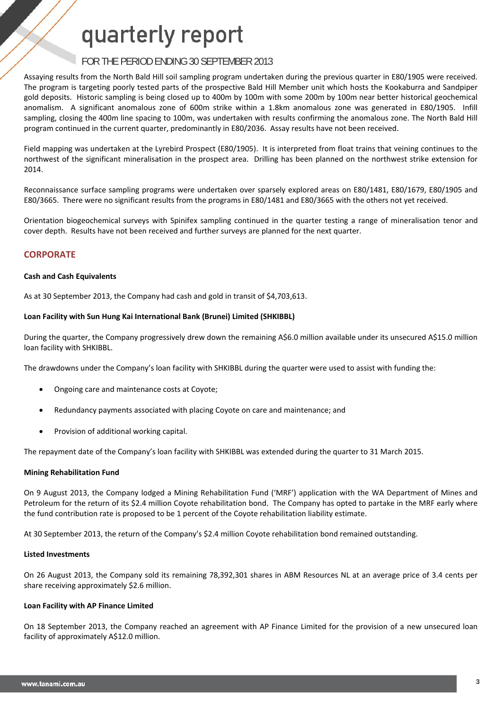## FOR THE PERIOD ENDING 30 SEPTEMBER 2013

Assaying results from the North Bald Hill soil sampling program undertaken during the previous quarter in E80/1905 were received. The program is targeting poorly tested parts of the prospective Bald Hill Member unit which hosts the Kookaburra and Sandpiper gold deposits. Historic sampling is being closed up to 400m by 100m with some 200m by 100m near better historical geochemical anomalism. A significant anomalous zone of 600m strike within a 1.8km anomalous zone was generated in E80/1905. Infill sampling, closing the 400m line spacing to 100m, was undertaken with results confirming the anomalous zone. The North Bald Hill program continued in the current quarter, predominantly in E80/2036. Assay results have not been received.

Field mapping was undertaken at the Lyrebird Prospect (E80/1905). It is interpreted from float trains that veining continues to the northwest of the significant mineralisation in the prospect area. Drilling has been planned on the northwest strike extension for 2014.

Reconnaissance surface sampling programs were undertaken over sparsely explored areas on E80/1481, E80/1679, E80/1905 and E80/3665. There were no significant results from the programs in E80/1481 and E80/3665 with the others not yet received.

Orientation biogeochemical surveys with Spinifex sampling continued in the quarter testing a range of mineralisation tenor and cover depth. Results have not been received and further surveys are planned for the next quarter.

## **CORPORATE**

### **Cash and Cash Equivalents**

As at 30 September 2013, the Company had cash and gold in transit of \$4,703,613.

### **Loan Facility with Sun Hung Kai International Bank (Brunei) Limited (SHKIBBL)**

During the quarter, the Company progressively drew down the remaining A\$6.0 million available under its unsecured A\$15.0 million loan facility with SHKIBBL.

The drawdowns under the Company's loan facility with SHKIBBL during the quarter were used to assist with funding the:

- Ongoing care and maintenance costs at Coyote;
- Redundancy payments associated with placing Coyote on care and maintenance; and
- Provision of additional working capital.

The repayment date of the Company's loan facility with SHKIBBL was extended during the quarter to 31 March 2015.

### **Mining Rehabilitation Fund**

On 9 August 2013, the Company lodged a Mining Rehabilitation Fund ('MRF') application with the WA Department of Mines and Petroleum for the return of its \$2.4 million Coyote rehabilitation bond. The Company has opted to partake in the MRF early where the fund contribution rate is proposed to be 1 percent of the Coyote rehabilitation liability estimate.

At 30 September 2013, the return of the Company's \$2.4 million Coyote rehabilitation bond remained outstanding.

#### **Listed Investments**

On 26 August 2013, the Company sold its remaining 78,392,301 shares in ABM Resources NL at an average price of 3.4 cents per share receiving approximately \$2.6 million.

#### **Loan Facility with AP Finance Limited**

On 18 September 2013, the Company reached an agreement with AP Finance Limited for the provision of a new unsecured loan facility of approximately A\$12.0 million.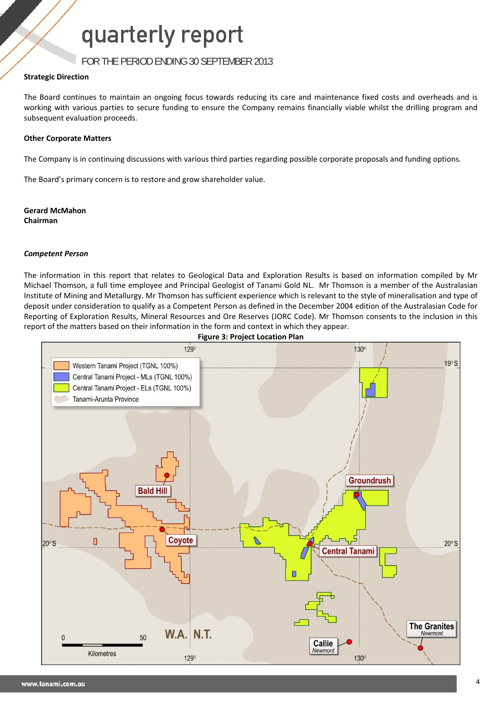FOR THE PERIOD ENDING 30 SEPTEMBER 2013

## **Strategic Direction**

The Board continues to maintain an ongoing focus towards reducing its care and maintenance fixed costs and overheads and is working with various parties to secure funding to ensure the Company remains financially viable whilst the drilling program and subsequent evaluation proceeds.

## **Other Corporate Matters**

The Company is in continuing discussions with various third parties regarding possible corporate proposals and funding options.

The Board's primary concern is to restore and grow shareholder value.

**Gerard McMahon Chairman**

## *Competent Person*

The information in this report that relates to Geological Data and Exploration Results is based on information compiled by Mr Michael Thomson, a full time employee and Principal Geologist of Tanami Gold NL. Mr Thomson is a member of the Australasian Institute of Mining and Metallurgy. Mr Thomson has sufficient experience which is relevant to the style of mineralisation and type of deposit under consideration to qualify as a Competent Person as defined in the December 2004 edition of the Australasian Code for Reporting of Exploration Results, Mineral Resources and Ore Reserves (JORC Code). Mr Thomson consents to the inclusion in this report of the matters based on their information in the form and context in which they appear.

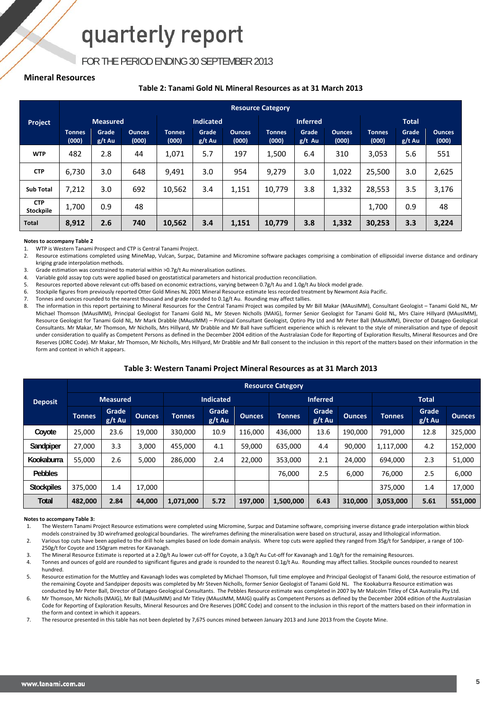## FOR THE PERIOD ENDING 30 SEPTEMBER 2013

### **Mineral Resources**

### **Table 2: Tanami Gold NL Mineral Resources as at 31 March 2013**

|                         | <b>Resource Category</b> |                 |                        |                        |                   |                        |                        |                   |                        |                        |                   |                        |
|-------------------------|--------------------------|-----------------|------------------------|------------------------|-------------------|------------------------|------------------------|-------------------|------------------------|------------------------|-------------------|------------------------|
| Project                 |                          | <b>Measured</b> |                        |                        | <b>Indicated</b>  |                        |                        | <b>Inferred</b>   |                        |                        | <b>Total</b>      |                        |
|                         | <b>Tonnes</b><br>(000)   | Grade<br>g/t Au | <b>Ounces</b><br>(000) | <b>Tonnes</b><br>(000) | Grade<br>$g/t$ Au | <b>Ounces</b><br>(000) | <b>Tonnes</b><br>(000) | Grade<br>$g/t$ Au | <b>Ounces</b><br>(000) | <b>Tonnes</b><br>(000) | Grade<br>$g/t$ Au | <b>Ounces</b><br>(000) |
| <b>WTP</b>              | 482                      | 2.8             | 44                     | 1,071                  | 5.7               | 197                    | 1,500                  | 6.4               | 310                    | 3,053                  | 5.6               | 551                    |
| <b>CTP</b>              | 6.730                    | 3.0             | 648                    | 9,491                  | 3.0               | 954                    | 9,279                  | 3.0               | 1,022                  | 25,500                 | 3.0               | 2,625                  |
| <b>Sub Total</b>        | 7,212                    | 3.0             | 692                    | 10,562                 | 3.4               | 1,151                  | 10,779                 | 3.8               | 1,332                  | 28,553                 | 3.5               | 3,176                  |
| <b>CTP</b><br>Stockpile | 1,700                    | 0.9             | 48                     |                        |                   |                        |                        |                   |                        | 1,700                  | 0.9               | 48                     |
| <b>Total</b>            | 8,912                    | 2.6             | 740                    | 10,562                 | 3.4               | 1,151                  | 10,779                 | 3.8               | 1,332                  | 30,253                 | 3.3               | 3,224                  |

#### **Notes to accompany Table 2**

1. WTP is Western Tanami Prospect and CTP is Central Tanami Project.

2. Resource estimations completed using MineMap, Vulcan, Surpac, Datamine and Micromine software packages comprising a combination of ellipsoidal inverse distance and ordinary kriging grade interpolation methods.

3. Grade estimation was constrained to material within >0.7g/t Au mineralisation outlines.

4. Variable gold assay top cuts were applied based on geostatistical parameters and historical production reconciliation.

5. Resources reported above relevant cut-offs based on economic extractions, varying between 0.7g/t Au and 1.0g/t Au block model grade.

6. Stockpile figures from previously reported Otter Gold Mines NL 2001 Mineral Resource estimate less recorded treatment by Newmont Asia Pacific.

7. Tonnes and ounces rounded to the nearest thousand and grade rounded to 0.1g/t Au. Rounding may affect tallies.

8. The information in this report pertaining to Mineral Resources for the Central Tanami Project was compiled by Mr Bill Makar (MAusIMM), Consultant Geologist – Tanami Gold NL, Mr Michael Thomson (MAusIMM), Principal Geologist for Tanami Gold NL, Mr Steven Nicholls (MAIG), former Senior Geologist for Tanami Gold NL, Mrs Claire Hillyard (MAusIMM), Resource Geologist for Tanami Gold NL, Mr Mark Drabble (MAusIMM) – Principal Consultant Geologist, Optiro Pty Ltd and Mr Peter Ball (MAusIMM), Director of Datageo Geological Consultants. Mr Makar, Mr Thomson, Mr Nicholls, Mrs Hillyard, Mr Drabble and Mr Ball have sufficient experience which is relevant to the style of mineralisation and type of deposit under consideration to qualify as Competent Persons as defined in the December 2004 edition of the Australasian Code for Reporting of Exploration Results, Mineral Resources and Ore Reserves (JORC Code). Mr Makar, Mr Thomson, Mr Nicholls, Mrs Hillyard, Mr Drabble and Mr Ball consent to the inclusion in this report of the matters based on their information in the form and context in which it appears.

### **Table 3: Western Tanami Project Mineral Resources as at 31 March 2013**

|                   | <b>Resource Category</b> |                   |               |                  |                   |                 |               |                   |               |               |                   |               |
|-------------------|--------------------------|-------------------|---------------|------------------|-------------------|-----------------|---------------|-------------------|---------------|---------------|-------------------|---------------|
| <b>Deposit</b>    | <b>Measured</b>          |                   |               | <b>Indicated</b> |                   | <b>Inferred</b> |               | <b>Total</b>      |               |               |                   |               |
|                   | <b>Tonnes</b>            | Grade<br>$g/t$ Au | <b>Ounces</b> | <b>Tonnes</b>    | Grade<br>$g/t$ Au | <b>Ounces</b>   | <b>Tonnes</b> | Grade<br>$g/t$ Au | <b>Ounces</b> | <b>Tonnes</b> | Grade<br>$g/t$ Au | <b>Ounces</b> |
| Coyote            | 25,000                   | 23.6              | 19.000        | 330.000          | 10.9              | 116.000         | 436,000       | 13.6              | 190.000       | 791.000       | 12.8              | 325,000       |
| Sandpiper         | 27,000                   | 3.3               | 3,000         | 455,000          | 4.1               | 59,000          | 635,000       | 4.4               | 90,000        | 1,117,000     | 4.2               | 152,000       |
| Kookaburra        | 55,000                   | 2.6               | 5,000         | 286,000          | 2.4               | 22,000          | 353,000       | 2.1               | 24,000        | 694.000       | 2.3               | 51,000        |
| <b>Pebbles</b>    |                          |                   |               |                  |                   |                 | 76,000        | 2.5               | 6,000         | 76,000        | 2.5               | 6,000         |
| <b>Stockpiles</b> | 375.000                  | 1.4               | 17.000        |                  |                   |                 |               |                   |               | 375,000       | 1.4               | 17,000        |
| Total             | 482,000                  | 2.84              | 44,000        | 1,071,000        | 5.72              | 197,000         | 1,500,000     | 6.43              | 310,000       | 3,053,000     | 5.61              | 551,000       |

#### **Notes to accompany Table 3:**

1. The Western Tanami Project Resource estimations were completed using Micromine, Surpac and Datamine software, comprising inverse distance grade interpolation within block models constrained by 3D wireframed geological boundaries. The wireframes defining the mineralisation were based on structural, assay and lithological information.

2. Various top cuts have been applied to the drill hole samples based on lode domain analysis. Where top cuts were applied they ranged from 35g/t for Sandpiper, a range of 100-250g/t for Coyote and 150gram metres for Kavanagh.

3. The Mineral Resource Estimate is reported at a 2.0g/t Au lower cut-off for Coyote, a 3.0g/t Au Cut-off for Kavanagh and 1.0g/t for the remaining Resources.

Tonnes and ounces of gold are rounded to significant figures and grade is rounded to the nearest 0.1g/t Au. Rounding may affect tallies. Stockpile ounces rounded to nearest hundred.

5. Resource estimation for the Muttley and Kavanagh lodes was completed by Michael Thomson, full time employee and Principal Geologist of Tanami Gold, the resource estimation of the remaining Coyote and Sandpiper deposits was completed by Mr Steven Nicholls, former Senior Geologist of Tanami Gold NL. The Kookaburra Resource estimation was conducted by Mr Peter Ball, Director of Datageo Geological Consultants. The Pebbles Resource estimate was completed in 2007 by Mr Malcolm Titley of CSA Australia Pty Ltd.

6. Mr Thomson, Mr Nicholls (MAIG), Mr Ball (MAusIMM) and Mr Titley (MAusIMM, MAIG) qualify as Competent Persons as defined by the December 2004 edition of the Australasian Code for Reporting of Exploration Results, Mineral Resources and Ore Reserves (JORC Code) and consent to the inclusion in this report of the matters based on their information in the form and context in which it appears.

7. The resource presented in this table has not been depleted by 7,675 ounces mined between January 2013 and June 2013 from the Coyote Mine.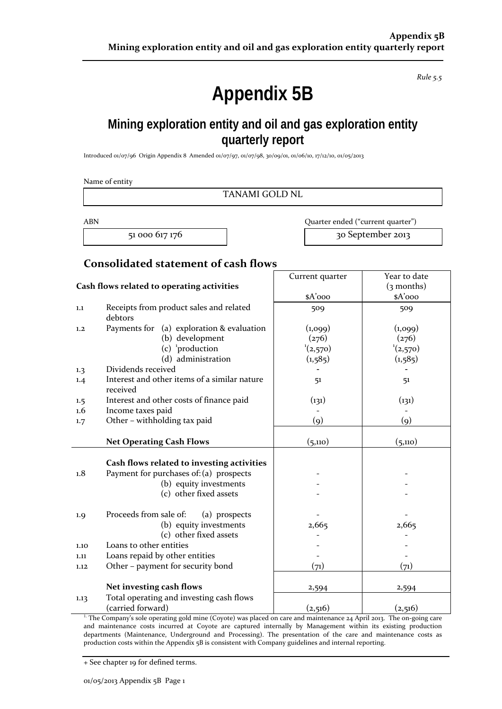*Rule 5.5*

# **Appendix 5B**

# **Mining exploration entity and oil and gas exploration entity quarterly report**

Introduced 01/07/96 Origin Appendix 8 Amended 01/07/97, 01/07/98, 30/09/01, 01/06/10, 17/12/10, 01/05/2013

Name of entity

TANAMI GOLD NL

ABN Quarter ended ("current quarter") 51 000 617 176 30 September 2013

## **Consolidated statement of cash flows**

|                                            |                                                                                       | Current quarter   | Year to date  |
|--------------------------------------------|---------------------------------------------------------------------------------------|-------------------|---------------|
| Cash flows related to operating activities |                                                                                       |                   | $(3$ months)  |
|                                            |                                                                                       | \$A'ooo           | \$A'ooo       |
| $1.1\,$                                    | Receipts from product sales and related<br>debtors                                    | 509               | 509           |
| 1,2                                        | Payments for (a) exploration & evaluation                                             | (1,099)           | (1,099)       |
|                                            | (b) development                                                                       | (276)             | (276)         |
|                                            | (c) $\frac{1}{2}$ production                                                          | $^1(2,570)$       | $^{1}(2,570)$ |
|                                            | (d) administration                                                                    | (1, 585)          | (1, 585)      |
| 1.3                                        | Dividends received                                                                    |                   |               |
| 1.4                                        | Interest and other items of a similar nature<br>received                              | 51                | 51            |
| 1.5                                        | Interest and other costs of finance paid                                              | (131)             | (131)         |
| 1.6                                        | Income taxes paid                                                                     |                   |               |
| 1.7                                        | Other - withholding tax paid                                                          | $\left( 9\right)$ | (q)           |
|                                            |                                                                                       |                   |               |
|                                            | <b>Net Operating Cash Flows</b>                                                       | (5,110)           | (5,110)       |
| 1.8                                        | Cash flows related to investing activities<br>Payment for purchases of: (a) prospects |                   |               |
|                                            | (b) equity investments                                                                |                   |               |
|                                            | (c) other fixed assets                                                                |                   |               |
| 1.9                                        | Proceeds from sale of:<br>(a) prospects                                               |                   |               |
|                                            | (b) equity investments                                                                | 2,665             | 2,665         |
|                                            | (c) other fixed assets                                                                |                   |               |
| 1.10                                       | Loans to other entities                                                               |                   |               |
| 1.11                                       | Loans repaid by other entities                                                        |                   |               |
| 1.12                                       | Other - payment for security bond                                                     | (71)              | (71)          |
|                                            |                                                                                       |                   |               |
|                                            | Net investing cash flows                                                              | 2,594             | 2,594         |
| 1.13                                       | Total operating and investing cash flows                                              |                   |               |
|                                            | (carried forward)                                                                     | (2,516)           | (2,516)       |

<sup>1.</sup> The Company's sole operating gold mine (Coyote) was placed on care and maintenance 24 April 2013. The on-going care and maintenance costs incurred at Coyote are captured internally by Management within its existing production departments (Maintenance, Underground and Processing). The presentation of the care and maintenance costs as production costs within the Appendix 5B is consistent with Company guidelines and internal reporting.

+ See chapter 19 for defined terms.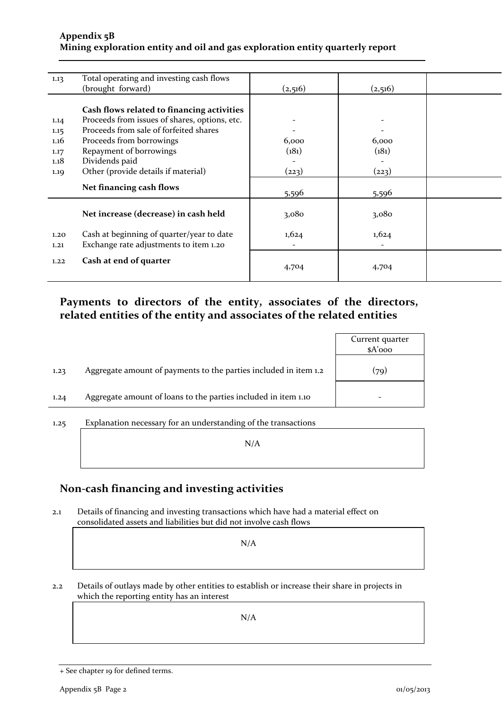## **Appendix 5B Mining exploration entity and oil and gas exploration entity quarterly report**

| 1.13 | Total operating and investing cash flows      |         |         |  |
|------|-----------------------------------------------|---------|---------|--|
|      | (brought forward)                             | (2,516) | (2,516) |  |
|      |                                               |         |         |  |
|      | Cash flows related to financing activities    |         |         |  |
| 1.14 | Proceeds from issues of shares, options, etc. |         |         |  |
| 1.15 | Proceeds from sale of forfeited shares        |         |         |  |
| 1.16 | Proceeds from borrowings                      | 6,000   | 6,000   |  |
| 1.17 | Repayment of borrowings                       | (181)   | (181)   |  |
| 1.18 | Dividends paid                                |         |         |  |
| 1.19 | Other (provide details if material)           | (223)   | (223)   |  |
|      |                                               |         |         |  |
|      | Net financing cash flows                      | 5,596   | 5,596   |  |
|      |                                               |         |         |  |
|      | Net increase (decrease) in cash held          | 3,080   | 3,080   |  |
|      |                                               |         |         |  |
| 1.20 | Cash at beginning of quarter/year to date     | 1,624   | 1,624   |  |
| 1,21 | Exchange rate adjustments to item 1.20        |         |         |  |
| 1.22 | Cash at end of quarter                        |         |         |  |
|      |                                               | 4,704   | 4,704   |  |
|      |                                               |         |         |  |

## **Payments to directors of the entity, associates of the directors, related entities of the entity and associates of the related entities**

|      |                                                                  | Current quarter<br>$A'$ <sub>000</sub> |
|------|------------------------------------------------------------------|----------------------------------------|
| 1.23 | Aggregate amount of payments to the parties included in item 1.2 | (79)                                   |
| 1.24 | Aggregate amount of loans to the parties included in item 1.10   |                                        |
|      |                                                                  |                                        |

1.25 Explanation necessary for an understanding of the transactions N/A

## **Non‐cash financing and investing activities**

2.1 Details of financing and investing transactions which have had a material effect on consolidated assets and liabilities but did not involve cash flows

N/A

2.2 Details of outlays made by other entities to establish or increase their share in projects in which the reporting entity has an interest

N/A

<sup>+</sup> See chapter 19 for defined terms.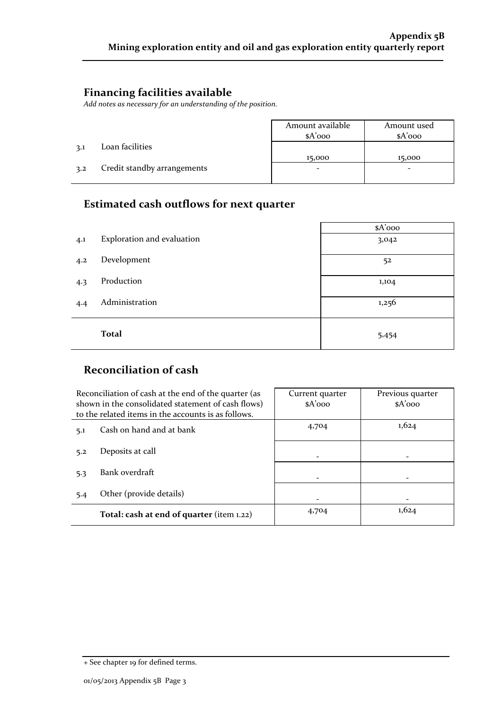## **Financing facilities available**

*Add notes as necessary for an understanding of the position.*

|     |                             | Amount available<br>$A'$ 000 | Amount used<br>$A'$ 000 |
|-----|-----------------------------|------------------------------|-------------------------|
| 3.1 | Loan facilities             |                              |                         |
|     |                             | 15,000                       | 15,000                  |
| 3.2 | Credit standby arrangements |                              |                         |
|     |                             |                              |                         |

## **Estimated cash outflows for next quarter**

|     |                            | \$A'ooo |
|-----|----------------------------|---------|
| 4.1 | Exploration and evaluation | 3,042   |
| 4.2 | Development                | 52      |
| 4.3 | Production                 | 1,104   |
| 4.4 | Administration             | 1,256   |
|     | <b>Total</b>               | 5,454   |

# **Reconciliation of cash**

|     | Reconciliation of cash at the end of the quarter (as<br>shown in the consolidated statement of cash flows)<br>to the related items in the accounts is as follows. | Current quarter<br>$A'$ 000 | Previous quarter<br>$A'$ 000 |
|-----|-------------------------------------------------------------------------------------------------------------------------------------------------------------------|-----------------------------|------------------------------|
| 5.1 | Cash on hand and at bank                                                                                                                                          | 4,704                       | 1,624                        |
| 5.2 | Deposits at call                                                                                                                                                  |                             |                              |
| 5.3 | Bank overdraft                                                                                                                                                    |                             |                              |
| 5.4 | Other (provide details)                                                                                                                                           |                             |                              |
|     | Total: cash at end of quarter (item 1.22)                                                                                                                         | 4,704                       | 1,624                        |

<sup>+</sup> See chapter 19 for defined terms.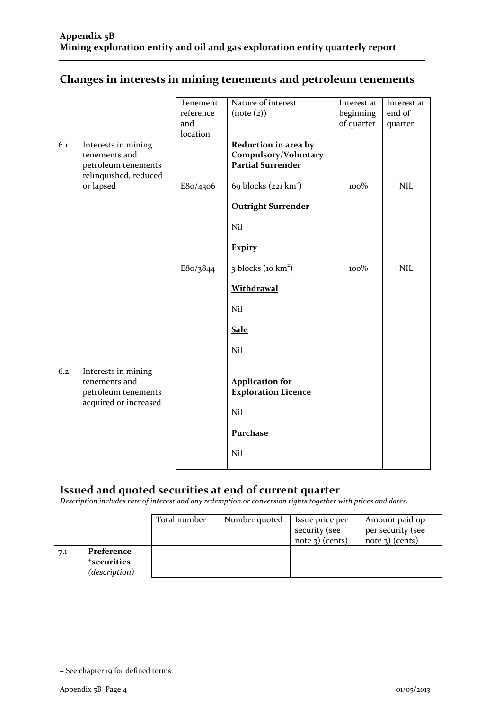|  | Changes in interests in mining tenements and petroleum tenements |  |
|--|------------------------------------------------------------------|--|
|  |                                                                  |  |

|     |                       | Tenement  | Nature of interest             | Interest at | Interest at |
|-----|-----------------------|-----------|--------------------------------|-------------|-------------|
|     |                       | reference | (note (2))                     | beginning   | end of      |
|     |                       | and       |                                | of quarter  | quarter     |
|     |                       | location  |                                |             |             |
| 6.1 | Interests in mining   |           | Reduction in area by           |             |             |
|     | tenements and         |           | Compulsory/Voluntary           |             |             |
|     | petroleum tenements   |           | <b>Partial Surrender</b>       |             |             |
|     | relinquished, reduced |           |                                |             |             |
|     | or lapsed             | E8o/4306  | 69 blocks $(221 \text{ km}^2)$ | 100%        | <b>NIL</b>  |
|     |                       |           | <b>Outright Surrender</b>      |             |             |
|     |                       |           | Nil                            |             |             |
|     |                       |           | <b>Expiry</b>                  |             |             |
|     |                       |           |                                |             |             |
|     |                       | E8o/3844  | 3 blocks (10 km <sup>2</sup> ) | 100%        | <b>NIL</b>  |
|     |                       |           | Withdrawal                     |             |             |
|     |                       |           | Nil                            |             |             |
|     |                       |           | <b>Sale</b>                    |             |             |
|     |                       |           | Nil                            |             |             |
|     |                       |           |                                |             |             |
| 6.2 | Interests in mining   |           |                                |             |             |
|     | tenements and         |           | <b>Application for</b>         |             |             |
|     | petroleum tenements   |           | <b>Exploration Licence</b>     |             |             |
|     | acquired or increased |           | Nil                            |             |             |
|     |                       |           |                                |             |             |
|     |                       |           | Purchase                       |             |             |
|     |                       |           | Nil                            |             |             |
|     |                       |           |                                |             |             |

## **Issued and quoted securities at end of current quarter**

*Description includes rate of interest and any redemption or conversion rights together with prices and dates.*

|     |                                                        | Total number | Number quoted | Issue price per<br>security (see<br>note $\alpha$ ) (cents) | Amount paid up<br>per security (see<br>$note$ 3) (cents) |
|-----|--------------------------------------------------------|--------------|---------------|-------------------------------------------------------------|----------------------------------------------------------|
| 7.1 | Preference<br><sup>+</sup> securities<br>(description) |              |               |                                                             |                                                          |

<sup>+</sup> See chapter 19 for defined terms.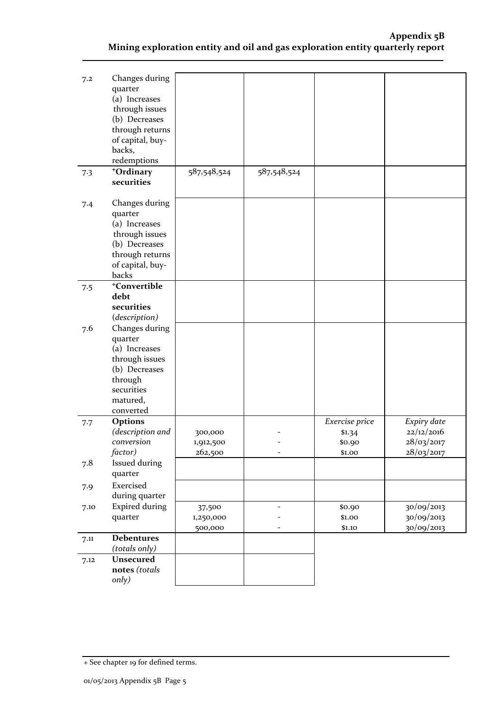| 7.2  | Changes during<br>quarter<br>(a) Increases<br>through issues<br>(b) Decreases<br>through returns<br>of capital, buy-<br>backs,<br>redemptions |                      |             |                  |                          |
|------|-----------------------------------------------------------------------------------------------------------------------------------------------|----------------------|-------------|------------------|--------------------------|
| 7.3  | +Ordinary<br>securities                                                                                                                       | 587,548,524          | 587,548,524 |                  |                          |
| 7.4  | Changes during<br>quarter<br>(a) Increases<br>through issues<br>(b) Decreases<br>through returns<br>of capital, buy-<br>backs                 |                      |             |                  |                          |
| 7.5  | +Convertible                                                                                                                                  |                      |             |                  |                          |
|      | debt                                                                                                                                          |                      |             |                  |                          |
|      | securities<br>(description)                                                                                                                   |                      |             |                  |                          |
| 7.6  | Changes during                                                                                                                                |                      |             |                  |                          |
|      | quarter                                                                                                                                       |                      |             |                  |                          |
|      | (a) Increases                                                                                                                                 |                      |             |                  |                          |
|      | through issues                                                                                                                                |                      |             |                  |                          |
|      | (b) Decreases                                                                                                                                 |                      |             |                  |                          |
|      | through                                                                                                                                       |                      |             |                  |                          |
|      | securities                                                                                                                                    |                      |             |                  |                          |
|      | matured,                                                                                                                                      |                      |             |                  |                          |
|      | converted                                                                                                                                     |                      |             |                  |                          |
| 7.7  | <b>Options</b>                                                                                                                                |                      |             | Exercise price   | Expiry date              |
|      | (description and<br>conversion                                                                                                                | 300,000              |             | \$1.34           | 22/12/2016<br>28/03/2017 |
|      | factor)                                                                                                                                       | 1,912,500<br>262,500 |             | \$0.90<br>\$1.00 | 28/03/2017               |
| 7.8  | <b>Issued during</b>                                                                                                                          |                      |             |                  |                          |
|      | quarter                                                                                                                                       |                      |             |                  |                          |
| 7.9  | Exercised                                                                                                                                     |                      |             |                  |                          |
|      | during quarter                                                                                                                                |                      |             |                  |                          |
| 7.10 | <b>Expired during</b>                                                                                                                         | 37,500               |             | \$0.90           | 30/09/2013               |
|      | quarter                                                                                                                                       | 1,250,000            |             | \$1.00           | 30/09/2013               |
|      |                                                                                                                                               | 500,000              |             | \$1.10           | 30/09/2013               |
| 7.11 | <b>Debentures</b>                                                                                                                             |                      |             |                  |                          |
|      | (totals only)                                                                                                                                 |                      |             |                  |                          |
| 7.12 | Unsecured                                                                                                                                     |                      |             |                  |                          |
|      | notes (totals                                                                                                                                 |                      |             |                  |                          |
|      | only)                                                                                                                                         |                      |             |                  |                          |

<sup>+</sup> See chapter 19 for defined terms.